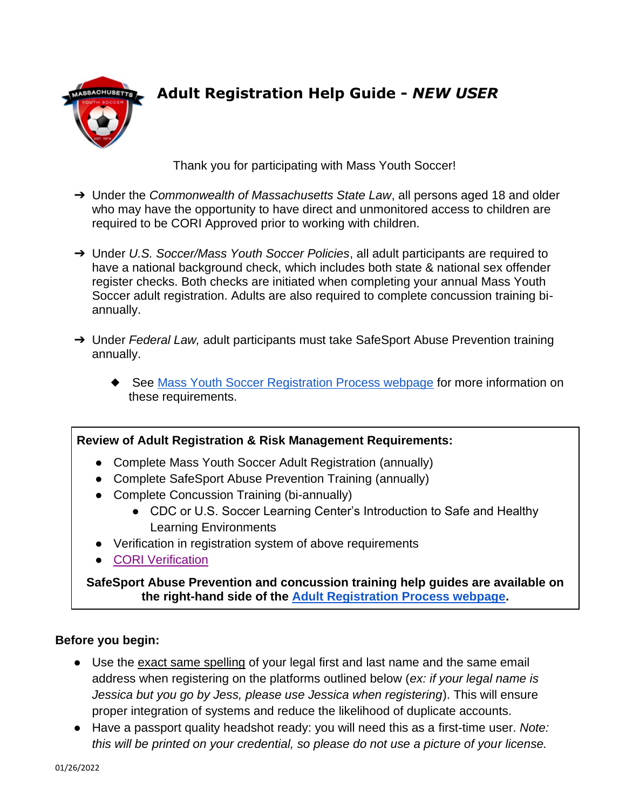

# **Adult Registration Help Guide -** *NEW USER*

Thank you for participating with Mass Youth Soccer!

- ➔ Under the *Commonwealth of Massachusetts State Law*, all persons aged 18 and older who may have the opportunity to have direct and unmonitored access to children are required to be CORI Approved prior to working with children.
- ➔ Under *U.S. Soccer/Mass Youth Soccer Policies*, all adult participants are required to have a national background check, which includes both state & national sex offender register checks. Both checks are initiated when completing your annual Mass Youth Soccer adult registration. Adults are also required to complete concussion training biannually.
- ➔ Under *Federal Law,* adult participants must take SafeSport Abuse Prevention training annually.
	- ◆ See [Mass Youth Soccer Registration Process webpage](https://www.mayouthsoccer.org/adult-registration-process/) for more information on these requirements.

### **Review of Adult Registration & Risk Management Requirements:**

- Complete Mass Youth Soccer Adult Registration (annually)
- Complete SafeSport Abuse Prevention Training (annually)
- Complete Concussion Training (bi-annually)
	- CDC or U.S. Soccer Learning Center's Introduction to Safe and Healthy Learning Environments
- Verification in registration system of above requirements
- [CORI Verification](#page-3-0)

**SafeSport Abuse Prevention and concussion training help guides are available on the right-hand side of the [Adult Registration Process webpage.](https://www.mayouthsoccer.org/adult-registration-process/)**

## **Before you begin:**

- Use the exact same spelling of your legal first and last name and the same email address when registering on the platforms outlined below (*ex: if your legal name is Jessica but you go by Jess, please use Jessica when registering*). This will ensure proper integration of systems and reduce the likelihood of duplicate accounts.
- Have a passport quality headshot ready: you will need this as a first-time user. *Note: this will be printed on your credential, so please do not use a picture of your license.*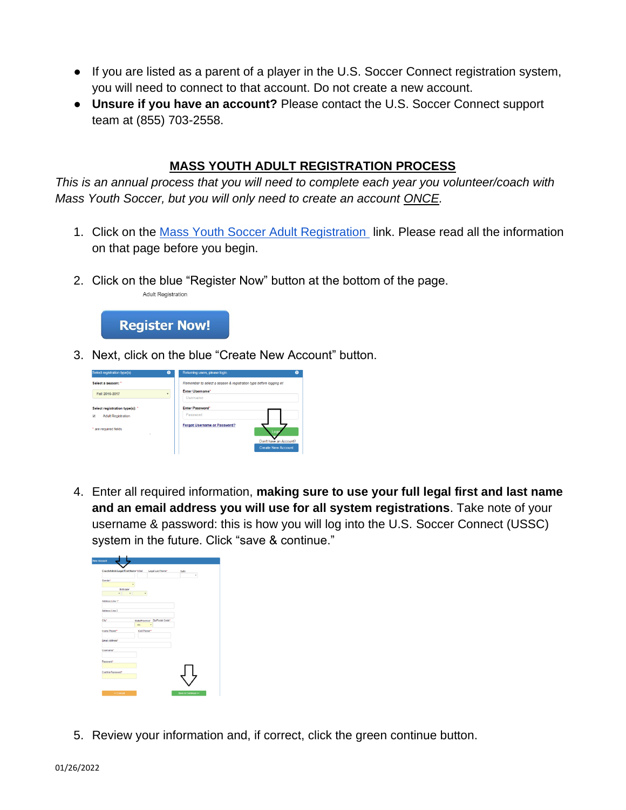- If you are listed as a parent of a player in the U.S. Soccer Connect registration system, you will need to connect to that account. Do not create a new account.
- **Unsure if you have an account?** Please contact the U.S. Soccer Connect support team at (855) 703-2558.

## **MASS YOUTH ADULT REGISTRATION PROCESS**

*This is an annual process that you will need to complete each year you volunteer/coach with Mass Youth Soccer, but you will only need to create an account ONCE.* 

- 1. Click on the [Mass Youth Soccer Adult Registration](https://secure.sportsaffinity.com/reg/index.asp?sessionguid=&domain=ma-cori%2Eaffinitysoccer%2Ecom) link. Please read all the information on that page before you begin.
- 2. Click on the blue "Register Now" button at the bottom of the page.



**Adult Registration** 

3. Next, click on the blue "Create New Account" button.

| Select registration type(s)                             | $\bullet$ | Returning users, please login.<br>๏                                |
|---------------------------------------------------------|-----------|--------------------------------------------------------------------|
| Select a season: "                                      |           | Remember to select a season & registration type before logging in! |
| Fall 2016-2017                                          | ٠         | <b>Enter Username</b> *<br>Usemame                                 |
| Select registration type(s): *                          |           | <b>Enter Password*</b><br>Password                                 |
| <b>Adult Registration</b><br>ø<br>* are required fields |           | <b>Forgot Username or Password?</b>                                |
| ٠                                                       |           | Don't have an Account?                                             |
|                                                         |           | <b>Create New Account</b>                                          |

4. Enter all required information, **making sure to use your full legal first and last name and an email address you will use for all system registrations**. Take note of your username & password: this is how you will log into the U.S. Soccer Connect (USSC) system in the future. Click "save & continue."

|                              | Coach/Admin Legal First Name*Initial<br>Legal Last Name* | Suffic<br>٠ |
|------------------------------|----------------------------------------------------------|-------------|
| Gender*<br><b>Birthdate*</b> | $\alpha$                                                 |             |
| è                            | $\overline{a}$                                           |             |
| Address Line 1*              |                                                          |             |
| Address Line 2               |                                                          |             |
| City*                        | State/Province* Zip/Postal Code*<br>MA<br>٠              |             |
| Home Phone**                 | Cell Phone**                                             |             |
| Email Address*               |                                                          |             |
| Usemarne*                    |                                                          |             |
| Password*                    |                                                          |             |
| Confirm Password*            |                                                          |             |

5. Review your information and, if correct, click the green continue button.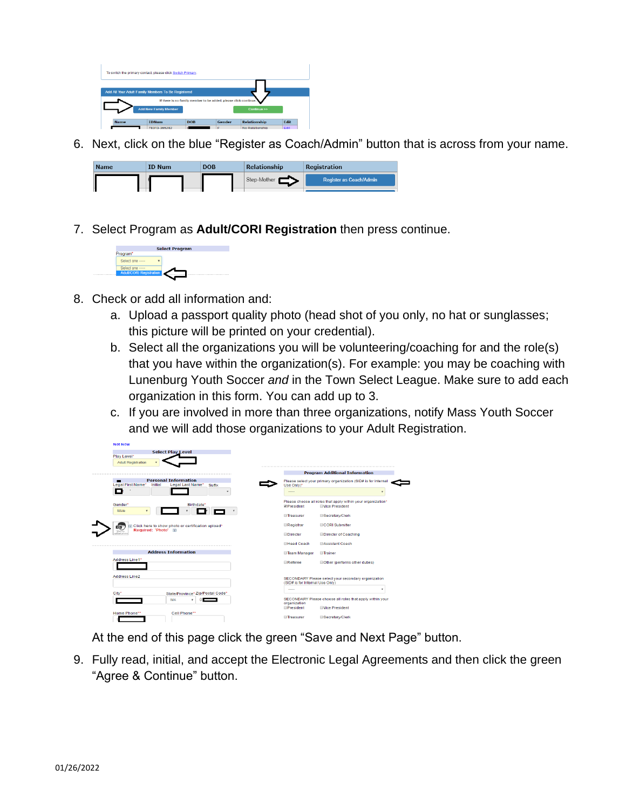

6. Next, click on the blue "Register as Coach/Admin" button that is across from your name.



7. Select Program as **Adult/CORI Registration** then press continue.



NOT NOW

- 8. Check or add all information and:
	- a. Upload a passport quality photo (head shot of you only, no hat or sunglasses; this picture will be printed on your credential).
	- b. Select all the organizations you will be volunteering/coaching for and the role(s) that you have within the organization(s). For example: you may be coaching with Lunenburg Youth Soccer *and* in the Town Select League. Make sure to add each organization in this form. You can add up to 3.
	- c. If you are involved in more than three organizations, notify Mass Youth Soccer and we will add those organizations to your Adult Registration.

| <b>Select Play Level</b><br>Play Level*                                                   |                                                                                                    |                                       |
|-------------------------------------------------------------------------------------------|----------------------------------------------------------------------------------------------------|---------------------------------------|
| <b>Adult Registration</b>                                                                 |                                                                                                    |                                       |
|                                                                                           |                                                                                                    | <b>Program Additional Information</b> |
| <b>Personal Information</b><br>Legal First Name*<br>Legal Last Name*<br>Initial<br>Suffix | Please select your primary organization (SID# is for Internal<br>Use Only)*                        |                                       |
| J<br>۰                                                                                    | -----                                                                                              | ٠                                     |
| Gender*<br><b>Birthdate*</b><br>Male                                                      | Please choose all roles that apply within your organization*<br><b>Wice President</b><br>President |                                       |
|                                                                                           | Treasurer<br>Secretary/Clerk                                                                       |                                       |
| Click here to show photo or certification upload*<br>$\sigma$<br>Required: 'Photo' 8      | CORI Submitter<br>Registrar                                                                        |                                       |
| Clos to                                                                                   | <b>Director</b>                                                                                    | <b>Director of Coaching</b>           |
|                                                                                           | <b>Head Coach</b><br><b>Assistant Coach</b>                                                        |                                       |
| <b>Address Information</b>                                                                | <b>Team Manager</b><br><b>Trainer</b>                                                              |                                       |
| Address Line1*                                                                            | Referee                                                                                            | Other (performs other duties)         |
| Address Line2                                                                             | SECONDARY Please select your secondary organization<br>(SID# is for Internal Use Only)             |                                       |
| State/Province* Zip/Postal Code*<br>City*                                                 | -----                                                                                              | ٠                                     |
| MA<br>۰                                                                                   | SECONDARY Please choose all roles that apply within your<br>organization                           |                                       |
|                                                                                           | President<br><b>Mce President</b>                                                                  |                                       |
| Home Phone**<br>Cell Phone**                                                              | Treasurer<br>Secretary/Clerk                                                                       |                                       |

At the end of this page click the green "Save and Next Page" button.

9. Fully read, initial, and accept the Electronic Legal Agreements and then click the green "Agree & Continue" button.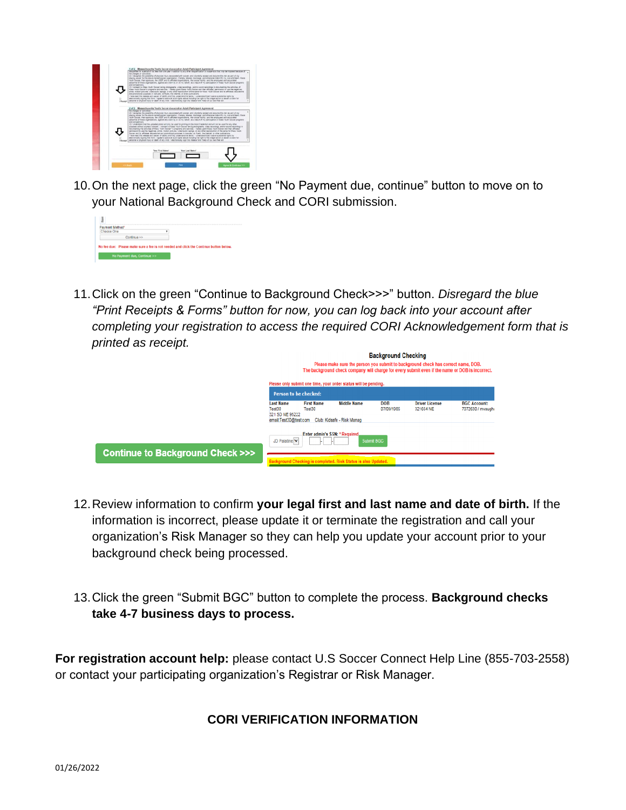

10.On the next page, click the green "No Payment due, continue" button to move on to your National Background Check and CORI submission.



11.Click on the green "Continue to Background Check>>>" button. *Disregard the blue "Print Receipts & Forms" button for now, you can log back into your account after completing your registration to access the required CORI Acknowledgement form that is printed as receipt.*

|                                  | <b>Background Checking</b>                                             |                                |                                                                 |                          |                                                                                                                                                                                      |                                          |
|----------------------------------|------------------------------------------------------------------------|--------------------------------|-----------------------------------------------------------------|--------------------------|--------------------------------------------------------------------------------------------------------------------------------------------------------------------------------------|------------------------------------------|
|                                  |                                                                        |                                |                                                                 |                          | Please make sure the person you submit to background check has correct name, DOB.<br>The background check company will charge for every submit even if the name or DOB is incorrect. |                                          |
|                                  |                                                                        |                                | Please only submit one time, your order status will be pending. |                          |                                                                                                                                                                                      |                                          |
|                                  | <b>Person to be checked:</b>                                           |                                |                                                                 |                          |                                                                                                                                                                                      |                                          |
|                                  | <b>Last Name</b><br>Test30<br>321 SD NE 95222<br>email:Test30@test.com | <b>First Name</b><br>Test30    | <b>Middle Name</b><br>Club: Kidsafe - Risk Manag                | <b>DOB</b><br>07/09/1985 | <b>Driver License</b><br>321654 NE                                                                                                                                                   | <b>BGC Account:</b><br>7072630 / mvaugha |
|                                  | JD Palatine                                                            | Enter admin's SSN: * Required, | Submit BGC                                                      |                          |                                                                                                                                                                                      |                                          |
| Continue to Background Check >>> |                                                                        |                                | ground Checking is completed. Risk Status is also Updated.      |                          |                                                                                                                                                                                      |                                          |

- 12.Review information to confirm **your legal first and last name and date of birth.** If the information is incorrect, please update it or terminate the registration and call your organization's Risk Manager so they can help you update your account prior to your background check being processed.
- 13.Click the green "Submit BGC" button to complete the process. **Background checks take 4-7 business days to process.**

<span id="page-3-0"></span>**For registration account help:** please contact U.S Soccer Connect Help Line (855-703-2558) or contact your participating organization's Registrar or Risk Manager.

## **CORI VERIFICATION INFORMATION**